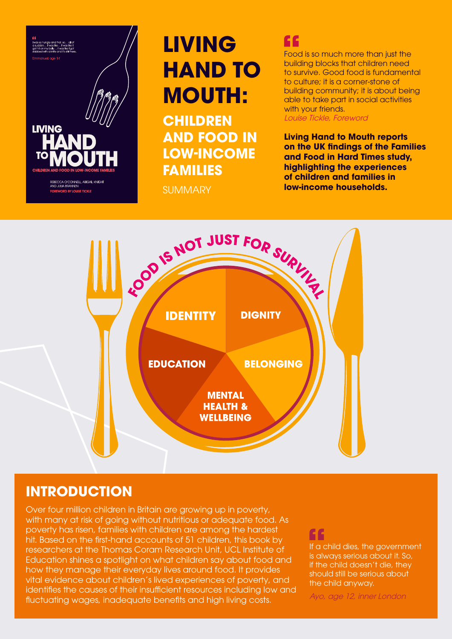

# **LIVING HAND TO MOUTH:**

**CHILDREN AND FOOD IN LOW-INCOME FAMILIES**

SUMMARY

# ££

Food is so much more than just the building blocks that children need to survive. Good food is fundamental to culture; it is a corner-stone of building community; it is about being able to take part in social activities with your friends.

Louise Tickle, Foreword

**Living Hand to Mouth reports on the UK findings of the Families and Food in Hard Times study, highlighting the experiences of children and families in low-income households.**



# **INTRODUCTION**

Over four million children in Britain are growing up in poverty, with many at risk of going without nutritious or adequate food. As poverty has risen, families with children are among the hardest hit. Based on the first-hand accounts of 51 children, this book by researchers at the Thomas Coram Research Unit, UCL Institute of Education shines a spotlight on what children say about food and how they manage their everyday lives around food. It provides vital evidence about children's lived experiences of poverty, and identifies the causes of their insufficient resources including low and fluctuating wages, inadequate benefits and high living costs.

If a child dies, the government is always serious about it. So, if the child doesn't die, they should still be serious about the child anyway.

Ayo, age 12, inner London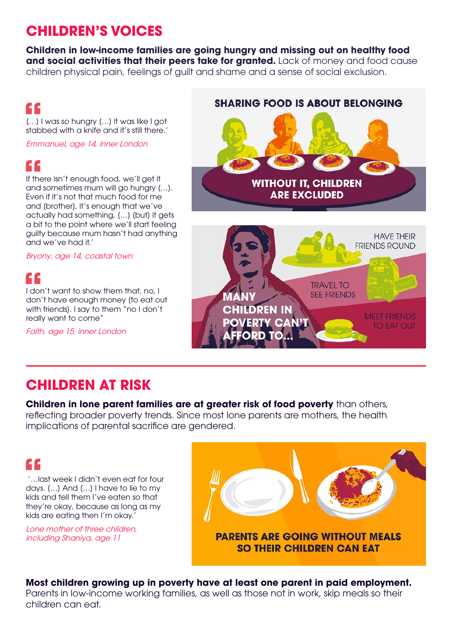# **CHILDREN'S VOICES**

**Children in low-income families are going hungry and missing out on healthy food and social activities that their peers take for granted.** Lack of money and food cause children physical pain, feelings of guilt and shame and a sense of social exclusion.

### ££

[…] I was so hungry […] it was like I got stabbed with a knife and it's still there.'

Emmanuel, age 14, inner London

### C C

If there isn't enough food, we'll get it and sometimes mum will go hungry […]. Even if it's not that much food for me and [brother], it's enough that we've actually had something, […] [but] it gets a bit to the point where we'll start feeling guilty because mum hasn't had anything and we've had it.'

Bryony, age 14, coastal town

### GC.

I don't want to show them that, no, I don't have enough money [to eat out with friends]. I say to them "no I don't really want to come"

Faith, age 15, inner London

# **SHARING FOOD IS ABOUT BELONGING WITHOUT IT, CHILDREN ARE EXCLUDED HAVE THEIR FRIENDS ROUND TRAVEL TO SEE FRIENDS ANY CHILDREN IN MEET FRIENDS OVERTY CAN'T TO EAT OUT** ORD TO

# **CHILDREN AT RISK**

### **Children in lone parent families are at greater risk of food poverty** than others,

reflecting broader poverty trends. Since most lone parents are mothers, the health implications of parental sacrifice are gendered.

# C C

 '…last week I didn't even eat for four days. […] And […] I have to lie to my kids and tell them I've eaten so that they're okay, because as long as my kids are eating then I'm okay.'

Lone mother of three children, including Shaniya, age 11



#### **Most children growing up in poverty have at least one parent in paid employment.**  Parents in low-income working families, as well as those not in work, skip meals so their children can eat.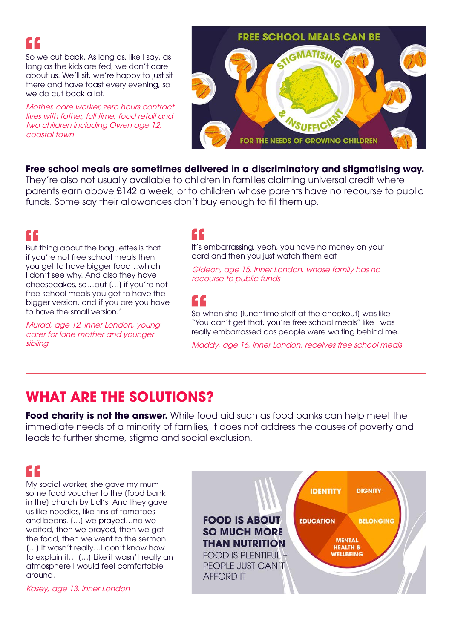

So we cut back. As long as, like I say, as long as the kids are fed, we don't care about us. We'll sit, we're happy to just sit there and have toast every evening, so we do cut back a lot.

Mother, care worker, zero hours contract lives with father, full time, food retail and two children including Owen age 12, coastal town



#### **Free school meals are sometimes delivered in a discriminatory and stigmatising way.**

They're also not usually available to children in families claiming universal credit where parents earn above £142 a week, or to children whose parents have no recourse to public funds. Some say their allowances don't buy enough to fill them up.

### ££

But thing about the baguettes is that if you're not free school meals then you get to have bigger food…which I don't see why. And also they have cheesecakes, so…but […] if you're not free school meals you get to have the bigger version, and if you are you have to have the small version.'

Murad, age 12, inner London, young carer for lone mother and younger sibling

# ££

It's embarrassing, yeah, you have no money on your card and then you just watch them eat.

Gideon, age 15, inner London, whose family has no recourse to public funds

# ££

So when she [lunchtime staff at the checkout] was like "You can't get that, you're free school meals" like I was really embarrassed cos people were waiting behind me.

Maddy, age 16, inner London, receives free school meals

### **WHAT ARE THE SOLUTIONS?**

**Food charity is not the answer.** While food aid such as food banks can help meet the immediate needs of a minority of families, it does not address the causes of poverty and leads to further shame, stigma and social exclusion.

# ££

My social worker, she gave my mum some food voucher to the [food bank in the] church by Lidl's. And they gave us like noodles, like tins of tomatoes and beans. […] we prayed…no we waited, then we prayed, then we got the food, then we went to the sermon […] It wasn't really…I don't know how to explain it… […] Like it wasn't really an atmosphere I would feel comfortable around.

Kasey, age 13, inner London